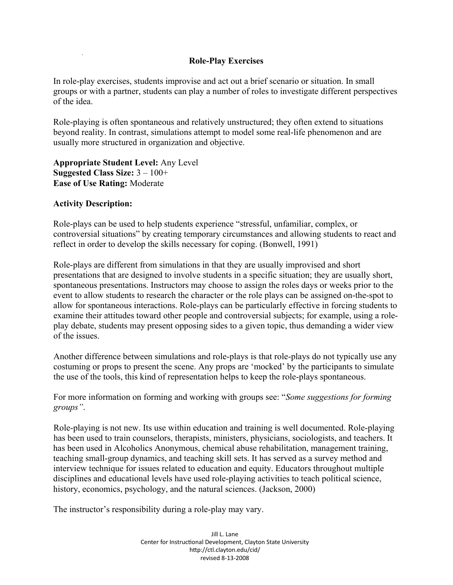## **Role-Play Exercises**

In role-play exercises, students improvise and act out a brief scenario or situation. In small groups or with a partner, students can play a number of roles to investigate different perspectives of the idea.

Role-playing is often spontaneous and relatively unstructured; they often extend to situations beyond reality. In contrast, simulations attempt to model some real-life phenomenon and are usually more structured in organization and objective.

**Appropriate Student Level:** Any Level **Suggested Class Size:** 3 – 100+ **Ease of Use Rating:** Moderate

## **Activity Description:**

Role-plays can be used to help students experience "stressful, unfamiliar, complex, or controversial situations" by creating temporary circumstances and allowing students to react and reflect in order to develop the skills necessary for coping. (Bonwell, 1991)

Role-plays are different from simulations in that they are usually improvised and short presentations that are designed to involve students in a specific situation; they are usually short, spontaneous presentations. Instructors may choose to assign the roles days or weeks prior to the event to allow students to research the character or the role plays can be assigned on-the-spot to allow for spontaneous interactions. Role-plays can be particularly effective in forcing students to examine their attitudes toward other people and controversial subjects; for example, using a roleplay debate, students may present opposing sides to a given topic, thus demanding a wider view of the issues.

Another difference between simulations and role-plays is that role-plays do not typically use any costuming or props to present the scene. Any props are 'mocked' by the participants to simulate the use of the tools, this kind of representation helps to keep the role-plays spontaneous.

For more information on forming and working with groups see: "*Some suggestions for forming groups"*.

Role-playing is not new. Its use within education and training is well documented. Role-playing has been used to train counselors, therapists, ministers, physicians, sociologists, and teachers. It has been used in Alcoholics Anonymous, chemical abuse rehabilitation, management training, teaching small-group dynamics, and teaching skill sets. It has served as a survey method and interview technique for issues related to education and equity. Educators throughout multiple disciplines and educational levels have used role-playing activities to teach political science, history, economics, psychology, and the natural sciences. (Jackson, 2000)

The instructor's responsibility during a role-play may vary.

Jill L. Lane Center for Instructional Development, Clayton State University http://ctl.clayton.edu/cid/ revised 8-13-2008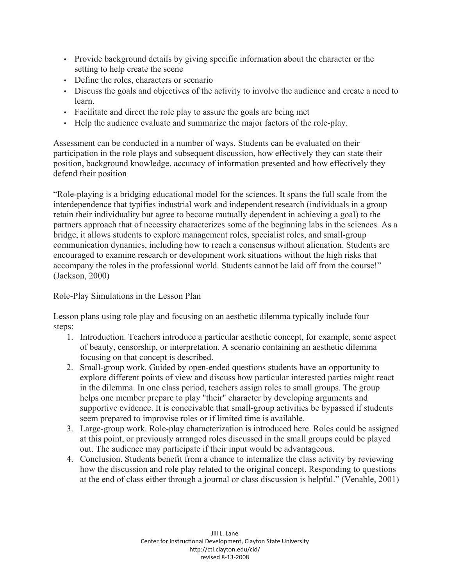- Provide background details by giving specific information about the character or the setting to help create the scene
- Define the roles, characters or scenario
- Discuss the goals and objectives of the activity to involve the audience and create a need to learn.
- Facilitate and direct the role play to assure the goals are being met
- Help the audience evaluate and summarize the major factors of the role-play.

Assessment can be conducted in a number of ways. Students can be evaluated on their participation in the role plays and subsequent discussion, how effectively they can state their position, background knowledge, accuracy of information presented and how effectively they defend their position

"Role-playing is a bridging educational model for the sciences. It spans the full scale from the interdependence that typifies industrial work and independent research (individuals in a group retain their individuality but agree to become mutually dependent in achieving a goal) to the partners approach that of necessity characterizes some of the beginning labs in the sciences. As a bridge, it allows students to explore management roles, specialist roles, and small-group communication dynamics, including how to reach a consensus without alienation. Students are encouraged to examine research or development work situations without the high risks that accompany the roles in the professional world. Students cannot be laid off from the course!" (Jackson, 2000)

Role-Play Simulations in the Lesson Plan

Lesson plans using role play and focusing on an aesthetic dilemma typically include four steps:

- 1. Introduction. Teachers introduce a particular aesthetic concept, for example, some aspect of beauty, censorship, or interpretation. A scenario containing an aesthetic dilemma focusing on that concept is described.
- 2. Small-group work. Guided by open-ended questions students have an opportunity to explore different points of view and discuss how particular interested parties might react in the dilemma. In one class period, teachers assign roles to small groups. The group helps one member prepare to play "their" character by developing arguments and supportive evidence. It is conceivable that small-group activities be bypassed if students seem prepared to improvise roles or if limited time is available.
- 3. Large-group work. Role-play characterization is introduced here. Roles could be assigned at this point, or previously arranged roles discussed in the small groups could be played out. The audience may participate if their input would be advantageous.
- 4. Conclusion. Students benefit from a chance to internalize the class activity by reviewing how the discussion and role play related to the original concept. Responding to questions at the end of class either through a journal or class discussion is helpful." (Venable, 2001)